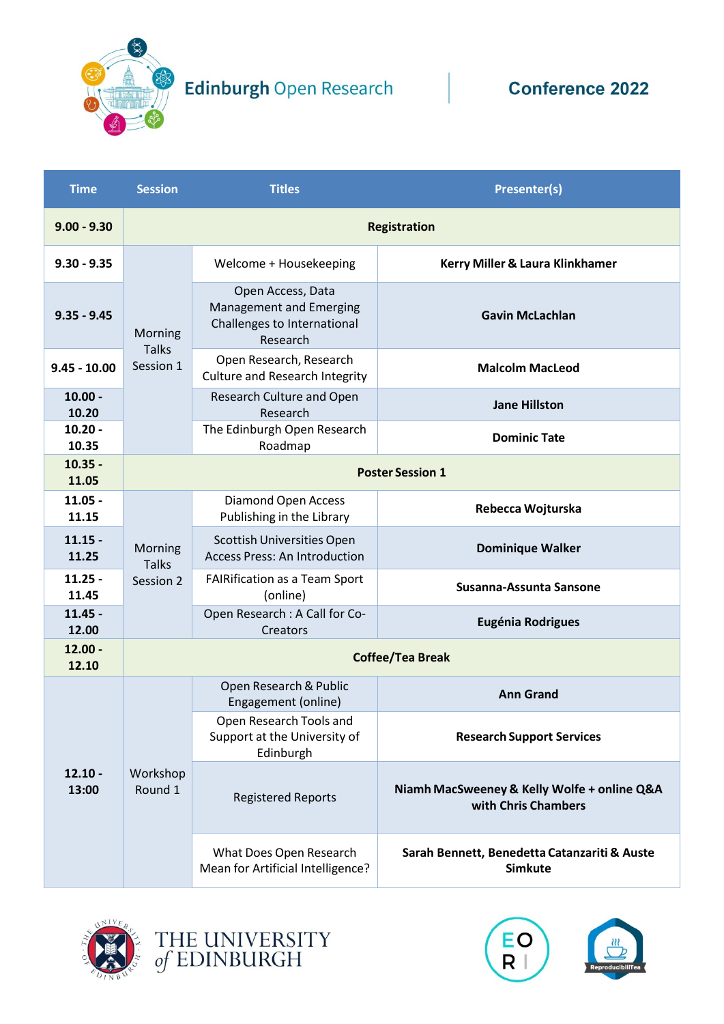

Edinburgh Open Research Conference 2022

| <b>Time</b>        | <b>Session</b>                       | <b>Titles</b>                                                                           | <b>Presenter(s)</b>                                                |  |
|--------------------|--------------------------------------|-----------------------------------------------------------------------------------------|--------------------------------------------------------------------|--|
| $9.00 - 9.30$      | <b>Registration</b>                  |                                                                                         |                                                                    |  |
| $9.30 - 9.35$      | Morning<br><b>Talks</b><br>Session 1 | Welcome + Housekeeping                                                                  | Kerry Miller & Laura Klinkhamer                                    |  |
| $9.35 - 9.45$      |                                      | Open Access, Data<br>Management and Emerging<br>Challenges to International<br>Research | <b>Gavin McLachlan</b>                                             |  |
| $9.45 - 10.00$     |                                      | Open Research, Research<br><b>Culture and Research Integrity</b>                        | <b>Malcolm MacLeod</b>                                             |  |
| $10.00 -$<br>10.20 |                                      | Research Culture and Open<br>Research                                                   | <b>Jane Hillston</b>                                               |  |
| $10.20 -$<br>10.35 |                                      | The Edinburgh Open Research<br>Roadmap                                                  | <b>Dominic Tate</b>                                                |  |
| $10.35 -$<br>11.05 | <b>Poster Session 1</b>              |                                                                                         |                                                                    |  |
| $11.05 -$<br>11.15 | Morning<br><b>Talks</b><br>Session 2 | <b>Diamond Open Access</b><br>Publishing in the Library                                 | Rebecca Wojturska                                                  |  |
| $11.15 -$<br>11.25 |                                      | Scottish Universities Open<br><b>Access Press: An Introduction</b>                      | <b>Dominique Walker</b>                                            |  |
| $11.25 -$<br>11.45 |                                      | <b>FAIRification as a Team Sport</b><br>(online)                                        | Susanna-Assunta Sansone                                            |  |
| $11.45 -$<br>12.00 |                                      | Open Research : A Call for Co-<br>Creators                                              | <b>Eugénia Rodrigues</b>                                           |  |
| $12.00 -$<br>12.10 |                                      | <b>Coffee/Tea Break</b>                                                                 |                                                                    |  |
| $12.10 -$<br>13:00 | Workshop<br>Round 1                  | Open Research & Public<br>Engagement (online)                                           | <b>Ann Grand</b>                                                   |  |
|                    |                                      | Open Research Tools and<br>Support at the University of<br>Edinburgh                    | <b>Research Support Services</b>                                   |  |
|                    |                                      | <b>Registered Reports</b>                                                               | Niamh MacSweeney & Kelly Wolfe + online Q&A<br>with Chris Chambers |  |
|                    |                                      | What Does Open Research<br>Mean for Artificial Intelligence?                            | Sarah Bennett, Benedetta Catanzariti & Auste<br><b>Simkute</b>     |  |